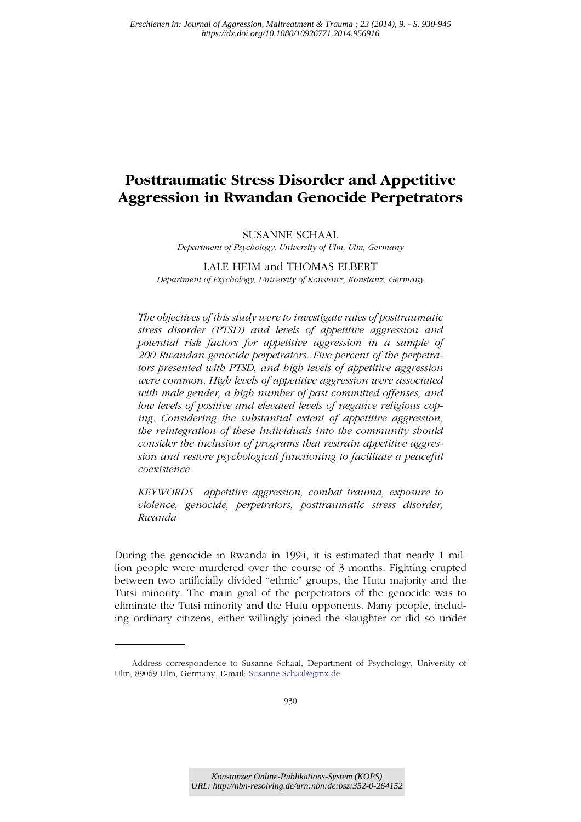# **Posttraumatic Stress Disorder and Appetitive Aggression in Rwandan Genocide Perpetrators**

# SUSANNE SCHAAL

*Department of Psychology, University of Ulm, Ulm, Germany*

# LALE HEIM and THOMAS ELBERT *Department of Psychology, University of Konstanz, Konstanz, Germany*

*The objectives of this study were to investigate rates of posttraumatic stress disorder (PTSD) and levels of appetitive aggression and potential risk factors for appetitive aggression in a sample of 200 Rwandan genocide perpetrators. Five percent of the perpetrators presented with PTSD, and high levels of appetitive aggression were common. High levels of appetitive aggression were associated with male gender, a high number of past committed offenses, and low levels of positive and elevated levels of negative religious coping. Considering the substantial extent of appetitive aggression, the reintegration of these individuals into the community should consider the inclusion of programs that restrain appetitive aggression and restore psychological functioning to facilitate a peaceful coexistence.*

*KEYWORDS appetitive aggression, combat trauma, exposure to violence, genocide, perpetrators, posttraumatic stress disorder, Rwanda*

During the genocide in Rwanda in 1994, it is estimated that nearly 1 million people were murdered over the course of 3 months. Fighting erupted between two artificially divided "ethnic" groups, the Hutu majority and the Tutsi minority. The main goal of the perpetrators of the genocide was to eliminate the Tutsi minority and the Hutu opponents. Many people, including ordinary citizens, either willingly joined the slaughter or did so under

Address correspondence to Susanne Schaal, Department of Psychology, University of Ulm, 89069 Ulm, Germany. E-mail: Susanne.Schaal@gmx.de

*Konstanzer Online-Publikations-System (KOPS) URL: http://nbn-resolving.de/urn:nbn:de:bsz:352-0-264152*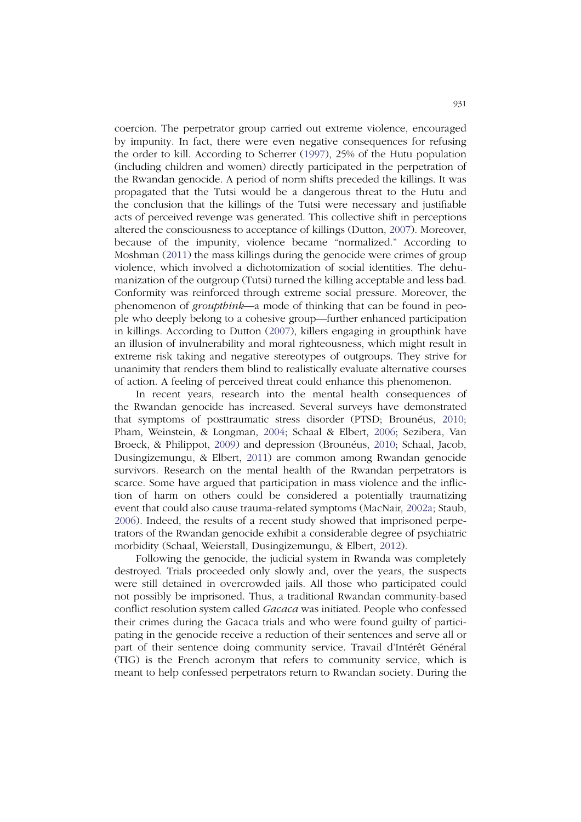coercion. The perpetrator group carried out extreme violence, encouraged by impunity. In fact, there were even negative consequences for refusing the order to kill. According to Scherrer (1997), 25% of the Hutu population (including children and women) directly participated in the perpetration of the Rwandan genocide. A period of norm shifts preceded the killings. It was propagated that the Tutsi would be a dangerous threat to the Hutu and the conclusion that the killings of the Tutsi were necessary and justifiable acts of perceived revenge was generated. This collective shift in perceptions altered the consciousness to acceptance of killings (Dutton, 2007). Moreover, because of the impunity, violence became "normalized." According to Moshman (2011) the mass killings during the genocide were crimes of group violence, which involved a dichotomization of social identities. The dehumanization of the outgroup (Tutsi) turned the killing acceptable and less bad. Conformity was reinforced through extreme social pressure. Moreover, the phenomenon of *groupthink*—a mode of thinking that can be found in people who deeply belong to a cohesive group—further enhanced participation in killings. According to Dutton (2007), killers engaging in groupthink have an illusion of invulnerability and moral righteousness, which might result in extreme risk taking and negative stereotypes of outgroups. They strive for unanimity that renders them blind to realistically evaluate alternative courses of action. A feeling of perceived threat could enhance this phenomenon.

In recent years, research into the mental health consequences of the Rwandan genocide has increased. Several surveys have demonstrated that symptoms of posttraumatic stress disorder (PTSD; Brounéus, 2010; Pham, Weinstein, & Longman, 2004; Schaal & Elbert, 2006; Sezibera, Van Broeck, & Philippot, 2009) and depression (Brounéus, 2010; Schaal, Jacob, Dusingizemungu, & Elbert, 2011) are common among Rwandan genocide survivors. Research on the mental health of the Rwandan perpetrators is scarce. Some have argued that participation in mass violence and the infliction of harm on others could be considered a potentially traumatizing event that could also cause trauma-related symptoms (MacNair, 2002a; Staub, 2006). Indeed, the results of a recent study showed that imprisoned perpetrators of the Rwandan genocide exhibit a considerable degree of psychiatric morbidity (Schaal, Weierstall, Dusingizemungu, & Elbert, 2012).

Following the genocide, the judicial system in Rwanda was completely destroyed. Trials proceeded only slowly and, over the years, the suspects were still detained in overcrowded jails. All those who participated could not possibly be imprisoned. Thus, a traditional Rwandan community-based conflict resolution system called *Gacaca* was initiated. People who confessed their crimes during the Gacaca trials and who were found guilty of participating in the genocide receive a reduction of their sentences and serve all or part of their sentence doing community service. Travail d'Intérêt Général (TIG) is the French acronym that refers to community service, which is meant to help confessed perpetrators return to Rwandan society. During the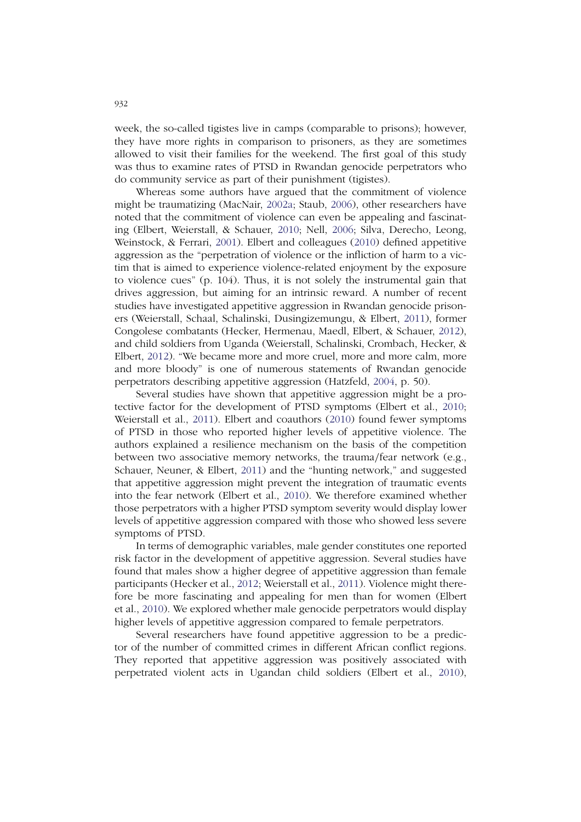week, the so-called tigistes live in camps (comparable to prisons); however, they have more rights in comparison to prisoners, as they are sometimes allowed to visit their families for the weekend. The first goal of this study was thus to examine rates of PTSD in Rwandan genocide perpetrators who do community service as part of their punishment (tigistes).

Whereas some authors have argued that the commitment of violence might be traumatizing (MacNair, 2002a; Staub, 2006), other researchers have noted that the commitment of violence can even be appealing and fascinating (Elbert, Weierstall, & Schauer, 2010; Nell, 2006; Silva, Derecho, Leong, Weinstock, & Ferrari, 2001). Elbert and colleagues (2010) defined appetitive aggression as the "perpetration of violence or the infliction of harm to a victim that is aimed to experience violence-related enjoyment by the exposure to violence cues" (p. 104). Thus, it is not solely the instrumental gain that drives aggression, but aiming for an intrinsic reward. A number of recent studies have investigated appetitive aggression in Rwandan genocide prisoners (Weierstall, Schaal, Schalinski, Dusingizemungu, & Elbert, 2011), former Congolese combatants (Hecker, Hermenau, Maedl, Elbert, & Schauer, 2012), and child soldiers from Uganda (Weierstall, Schalinski, Crombach, Hecker, & Elbert, 2012). "We became more and more cruel, more and more calm, more and more bloody" is one of numerous statements of Rwandan genocide perpetrators describing appetitive aggression (Hatzfeld, 2004, p. 50).

Several studies have shown that appetitive aggression might be a protective factor for the development of PTSD symptoms (Elbert et al., 2010; Weierstall et al., 2011). Elbert and coauthors (2010) found fewer symptoms of PTSD in those who reported higher levels of appetitive violence. The authors explained a resilience mechanism on the basis of the competition between two associative memory networks, the trauma/fear network (e.g., Schauer, Neuner, & Elbert, 2011) and the "hunting network," and suggested that appetitive aggression might prevent the integration of traumatic events into the fear network (Elbert et al., 2010). We therefore examined whether those perpetrators with a higher PTSD symptom severity would display lower levels of appetitive aggression compared with those who showed less severe symptoms of PTSD.

In terms of demographic variables, male gender constitutes one reported risk factor in the development of appetitive aggression. Several studies have found that males show a higher degree of appetitive aggression than female participants (Hecker et al., 2012; Weierstall et al., 2011). Violence might therefore be more fascinating and appealing for men than for women (Elbert et al., 2010). We explored whether male genocide perpetrators would display higher levels of appetitive aggression compared to female perpetrators.

Several researchers have found appetitive aggression to be a predictor of the number of committed crimes in different African conflict regions. They reported that appetitive aggression was positively associated with perpetrated violent acts in Ugandan child soldiers (Elbert et al., 2010),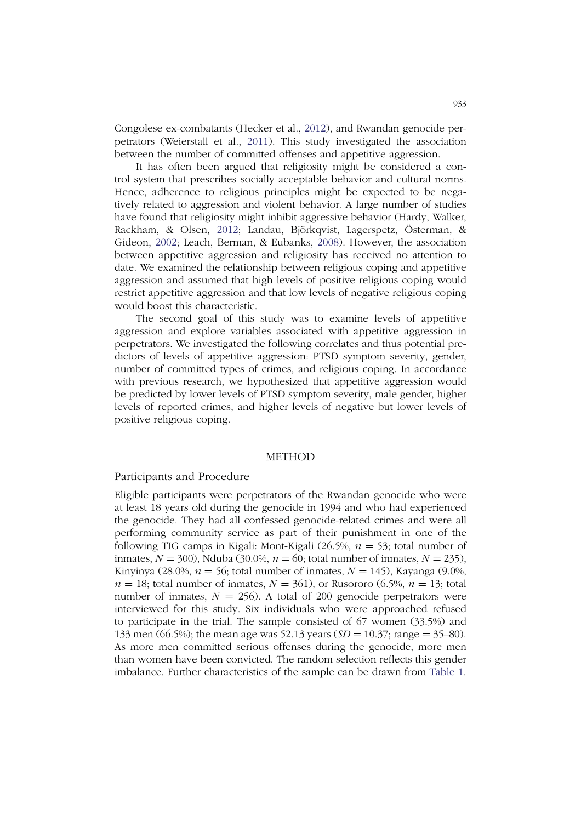Congolese ex-combatants (Hecker et al., 2012), and Rwandan genocide perpetrators (Weierstall et al., 2011). This study investigated the association between the number of committed offenses and appetitive aggression.

It has often been argued that religiosity might be considered a control system that prescribes socially acceptable behavior and cultural norms. Hence, adherence to religious principles might be expected to be negatively related to aggression and violent behavior. A large number of studies have found that religiosity might inhibit aggressive behavior (Hardy, Walker, Rackham, & Olsen, 2012; Landau, Björkqvist, Lagerspetz, Österman, & Gideon, 2002; Leach, Berman, & Eubanks, 2008). However, the association between appetitive aggression and religiosity has received no attention to date. We examined the relationship between religious coping and appetitive aggression and assumed that high levels of positive religious coping would restrict appetitive aggression and that low levels of negative religious coping would boost this characteristic.

The second goal of this study was to examine levels of appetitive aggression and explore variables associated with appetitive aggression in perpetrators. We investigated the following correlates and thus potential predictors of levels of appetitive aggression: PTSD symptom severity, gender, number of committed types of crimes, and religious coping. In accordance with previous research, we hypothesized that appetitive aggression would be predicted by lower levels of PTSD symptom severity, male gender, higher levels of reported crimes, and higher levels of negative but lower levels of positive religious coping.

#### **METHOD**

#### Participants and Procedure

Eligible participants were perpetrators of the Rwandan genocide who were at least 18 years old during the genocide in 1994 and who had experienced the genocide. They had all confessed genocide-related crimes and were all performing community service as part of their punishment in one of the following TIG camps in Kigali: Mont-Kigali (26.5%, *n* = 53; total number of inmates,  $N = 300$ ), Nduba (30.0%,  $n = 60$ ; total number of inmates,  $N = 235$ ), Kinyinya (28.0%,  $n = 56$ ; total number of inmates,  $N = 145$ ), Kayanga (9.0%,  $n = 18$ ; total number of inmates,  $N = 361$ ), or Rusororo (6.5%,  $n = 13$ ; total number of inmates,  $N = 256$ ). A total of 200 genocide perpetrators were interviewed for this study. Six individuals who were approached refused to participate in the trial. The sample consisted of 67 women (33.5%) and 133 men (66.5%); the mean age was 52.13 years (*SD* = 10.37; range = 35–80). As more men committed serious offenses during the genocide, more men than women have been convicted. The random selection reflects this gender imbalance. Further characteristics of the sample can be drawn from Table 1.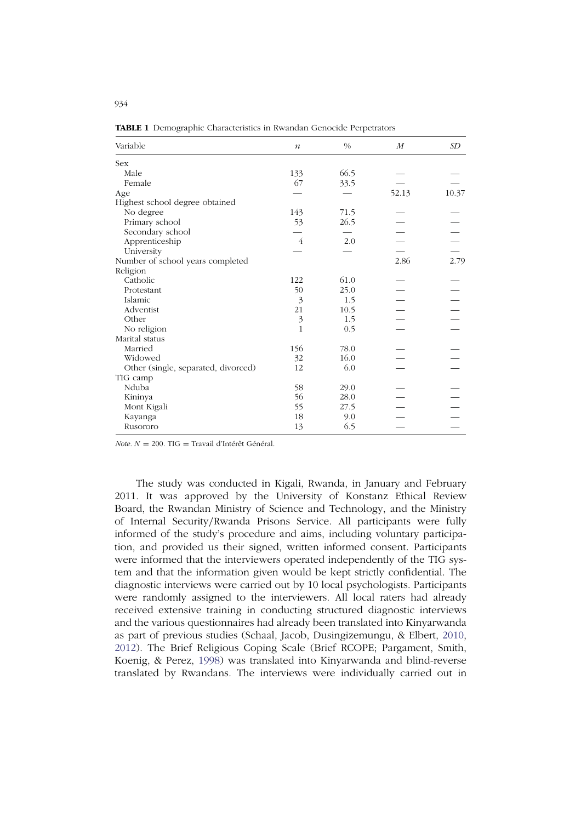| Variable                            | $\boldsymbol{n}$ | $\frac{0}{0}$ | $\boldsymbol{M}$ | SD    |
|-------------------------------------|------------------|---------------|------------------|-------|
| Sex                                 |                  |               |                  |       |
| Male                                | 133              | 66.5          |                  |       |
| Female                              | 67               | 33.5          |                  |       |
| Age                                 |                  |               | 52.13            | 10.37 |
| Highest school degree obtained      |                  |               |                  |       |
| No degree                           | 143              | 71.5          |                  |       |
| Primary school                      | 53               | 26.5          |                  |       |
| Secondary school                    |                  |               |                  |       |
| Apprenticeship                      | 4                | 2.0           |                  |       |
| University                          |                  |               |                  |       |
| Number of school years completed    |                  |               | 2.86             | 2.79  |
| Religion                            |                  |               |                  |       |
| Catholic                            | 122              | 61.0          |                  |       |
| Protestant                          | 50               | 25.0          |                  |       |
| Islamic                             | 3                | 1.5           |                  |       |
| Adventist                           | 21               | 10.5          |                  |       |
| Other                               | 3                | 1.5           |                  |       |
| No religion                         | 1                | 0.5           |                  |       |
| Marital status                      |                  |               |                  |       |
| Married                             | 156              | 78.0          |                  |       |
| Widowed                             | 32               | 16.0          |                  |       |
| Other (single, separated, divorced) | 12               | 6.0           |                  |       |
| TIG camp                            |                  |               |                  |       |
| Nduba                               | 58               | 29.0          |                  |       |
| Kininya                             | 56               | 28.0          |                  |       |
| Mont Kigali                         | 55               | 27.5          |                  |       |
| Kayanga                             | 18               | 9.0           |                  |       |
| Rusororo                            | 13               | 6.5           |                  |       |

**TABLE 1** Demographic Characteristics in Rwandan Genocide Perpetrators

*Note. N* = 200. TIG = Travail d'Intérêt Général.

The study was conducted in Kigali, Rwanda, in January and February 2011. It was approved by the University of Konstanz Ethical Review Board, the Rwandan Ministry of Science and Technology, and the Ministry of Internal Security/Rwanda Prisons Service. All participants were fully informed of the study's procedure and aims, including voluntary participation, and provided us their signed, written informed consent. Participants were informed that the interviewers operated independently of the TIG system and that the information given would be kept strictly confidential. The diagnostic interviews were carried out by 10 local psychologists. Participants were randomly assigned to the interviewers. All local raters had already received extensive training in conducting structured diagnostic interviews and the various questionnaires had already been translated into Kinyarwanda as part of previous studies (Schaal, Jacob, Dusingizemungu, & Elbert, 2010, 2012). The Brief Religious Coping Scale (Brief RCOPE; Pargament, Smith, Koenig, & Perez, 1998) was translated into Kinyarwanda and blind-reverse translated by Rwandans. The interviews were individually carried out in

934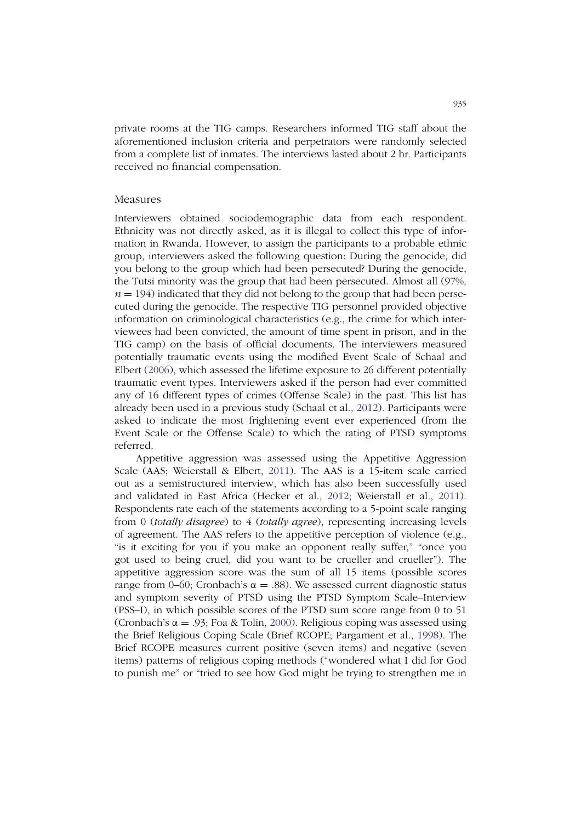private rooms at the TIG camps. Researchers informed TIG staff about the aforementioned inclusion criteria and perpetrators were randomly selected from a complete list of inmates. The interviews lasted about 2 hr. Participants received no financial compensation.

#### Measures

Interviewers obtained sociodemographic data from each respondent. Ethnicity was not directly asked, as it is illegal to collect this type of information in Rwanda. However, to assign the participants to a probable ethnic group, interviewers asked the following question: During the genocide, did you belong to the group which had been persecuted? During the genocide, the Tutsi minority was the group that had been persecuted. Almost all (97%,  $n = 194$ ) indicated that they did not belong to the group that had been persecuted during the genocide. The respective TIG personnel provided objective information on criminological characteristics (e.g., the crime for which interviewees had been convicted, the amount of time spent in prison, and in the TIG camp) on the basis of official documents. The interviewers measured potentially traumatic events using the modified Event Scale of Schaal and Elbert (2006), which assessed the lifetime exposure to 26 different potentially traumatic event types. Interviewers asked if the person had ever committed any of 16 different types of crimes (Offense Scale) in the past. This list has already been used in a previous study (Schaal et al., 2012). Participants were asked to indicate the most frightening event ever experienced (from the Event Scale or the Offense Scale) to which the rating of PTSD symptoms referred.

Appetitive aggression was assessed using the Appetitive Aggression Scale (AAS; Weierstall & Elbert, 2011). The AAS is a 15-item scale carried out as a semistructured interview, which has also been successfully used and validated in East Africa (Hecker et al., 2012; Weierstall et al., 2011). Respondents rate each of the statements according to a 5-point scale ranging from 0 (*totally disagree*) to 4 (*totally agree*), representing increasing levels of agreement. The AAS refers to the appetitive perception of violence (e.g., "is it exciting for you if you make an opponent really suffer," "once you got used to being cruel, did you want to be crueller and crueller"). The appetitive aggression score was the sum of all 15 items (possible scores range from 0–60; Cronbach's α = .88). We assessed current diagnostic status and symptom severity of PTSD using the PTSD Symptom Scale–Interview (PSS–I), in which possible scores of the PTSD sum score range from 0 to 51 (Cronbach's  $\alpha = .93$ ; Foa & Tolin, 2000). Religious coping was assessed using the Brief Religious Coping Scale (Brief RCOPE; Pargament et al., 1998). The Brief RCOPE measures current positive (seven items) and negative (seven items) patterns of religious coping methods ("wondered what I did for God to punish me" or "tried to see how God might be trying to strengthen me in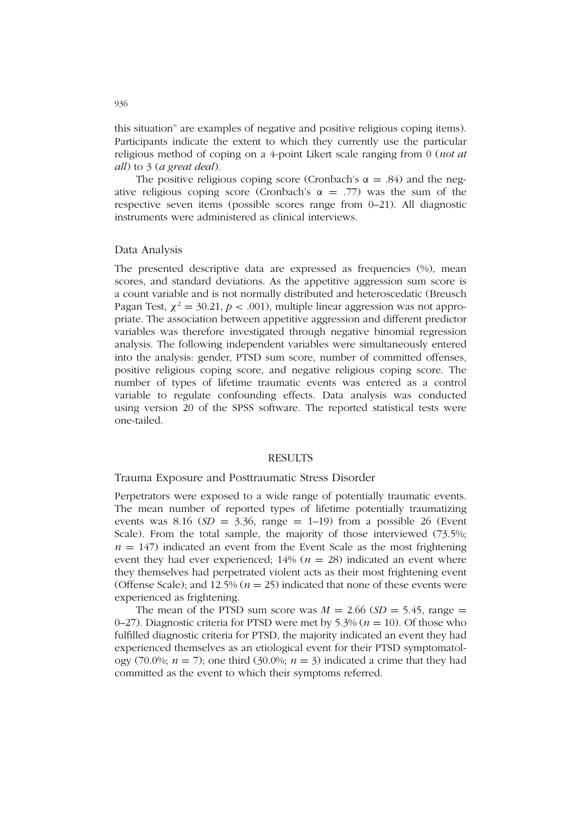this situation" are examples of negative and positive religious coping items). Participants indicate the extent to which they currently use the particular religious method of coping on a 4-point Likert scale ranging from 0 (*not at all*) to 3 (*a great deal*).

The positive religious coping score (Cronbach's  $\alpha = .84$ ) and the negative religious coping score (Cronbach's  $\alpha = .77$ ) was the sum of the respective seven items (possible scores range from 0–21). All diagnostic instruments were administered as clinical interviews.

## Data Analysis

The presented descriptive data are expressed as frequencies (%), mean scores, and standard deviations. As the appetitive aggression sum score is a count variable and is not normally distributed and heteroscedatic (Breusch Pagan Test,  $\chi^2 = 30.21$ ,  $p < .001$ ), multiple linear aggression was not appropriate. The association between appetitive aggression and different predictor variables was therefore investigated through negative binomial regression analysis. The following independent variables were simultaneously entered into the analysis: gender, PTSD sum score, number of committed offenses, positive religious coping score, and negative religious coping score. The number of types of lifetime traumatic events was entered as a control variable to regulate confounding effects. Data analysis was conducted using version 20 of the SPSS software. The reported statistical tests were one-tailed.

#### **RESULTS**

# Trauma Exposure and Posttraumatic Stress Disorder

Perpetrators were exposed to a wide range of potentially traumatic events. The mean number of reported types of lifetime potentially traumatizing events was 8.16  $(SD = 3.36, \text{ range} = 1-19)$  from a possible 26 (Event Scale). From the total sample, the majority of those interviewed (73.5%;  $n = 147$ ) indicated an event from the Event Scale as the most frightening event they had ever experienced;  $14\%$  ( $n = 28$ ) indicated an event where they themselves had perpetrated violent acts as their most frightening event (Offense Scale); and 12.5% ( $n = 25$ ) indicated that none of these events were experienced as frightening.

The mean of the PTSD sum score was  $M = 2.66$  (*SD* = 5.45, range = 0–27). Diagnostic criteria for PTSD were met by 5.3% (*n* = 10). Of those who fulfilled diagnostic criteria for PTSD, the majority indicated an event they had experienced themselves as an etiological event for their PTSD symptomatology (70.0%;  $n = 7$ ); one third (30.0%;  $n = 3$ ) indicated a crime that they had committed as the event to which their symptoms referred.

936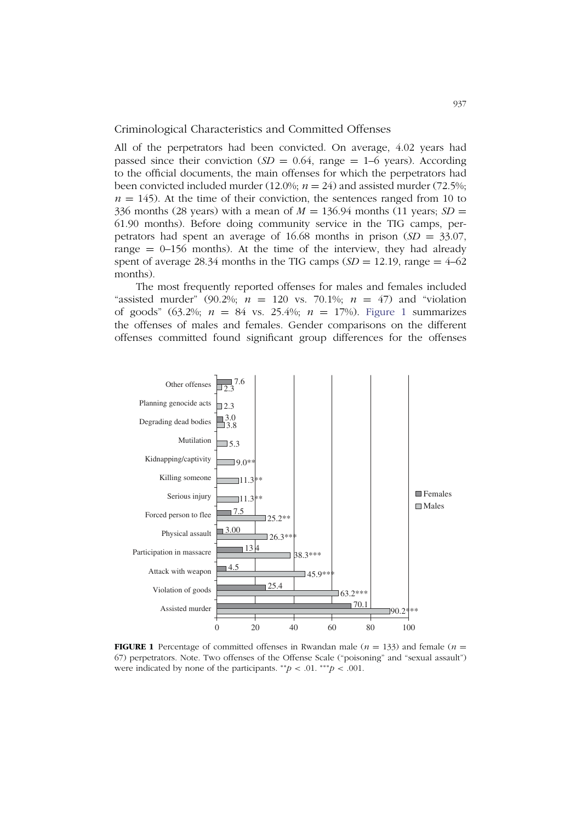Criminological Characteristics and Committed Offenses

All of the perpetrators had been convicted. On average, 4.02 years had passed since their conviction  $(SD = 0.64$ , range  $= 1-6$  years). According to the official documents, the main offenses for which the perpetrators had been convicted included murder (12.0%;  $n = 24$ ) and assisted murder (72.5%;  $n = 145$ ). At the time of their conviction, the sentences ranged from 10 to 336 months (28 years) with a mean of  $M = 136.94$  months (11 years;  $SD =$ 61.90 months). Before doing community service in the TIG camps, perpetrators had spent an average of 16.68 months in prison (*SD* = 33.07, range  $= 0$ –156 months). At the time of the interview, they had already spent of average 28.34 months in the TIG camps  $(SD = 12.19)$ , range =  $4-62$ months).

The most frequently reported offenses for males and females included "assisted murder" (90.2%;  $n = 120$  vs. 70.1%;  $n = 47$ ) and "violation" of goods" (63.2%; *n* = 84 vs. 25.4%; *n* = 17%). Figure 1 summarizes the offenses of males and females. Gender comparisons on the different offenses committed found significant group differences for the offenses



**FIGURE 1** Percentage of committed offenses in Rwandan male ( $n = 133$ ) and female ( $n =$ 67) perpetrators. Note. Two offenses of the Offense Scale ("poisoning" and "sexual assault") were indicated by none of the participants.  $^{**}p < .01$ .  $^{***}p < .001$ .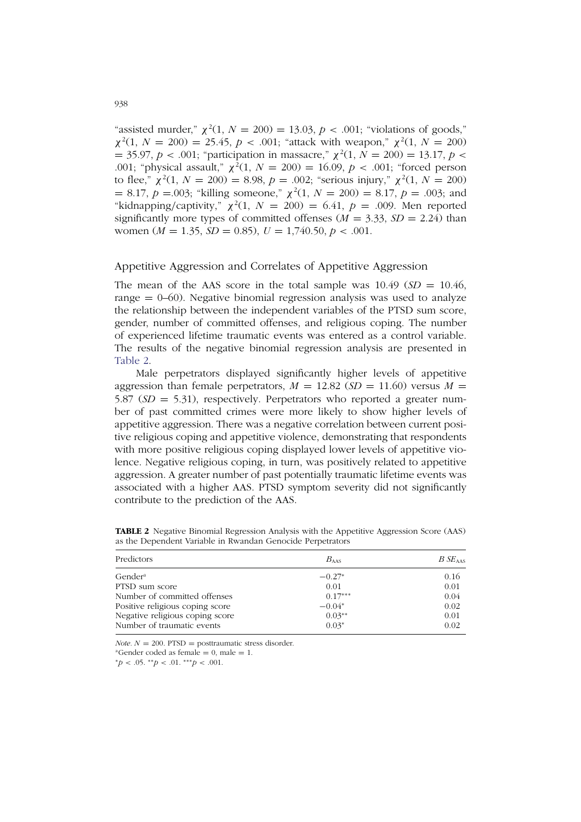"assisted murder,"  $\chi^2(1, N = 200) = 13.03, p < .001$ ; "violations of goods,"  $\chi^2(1, N = 200) = 25.45, p < .001$ ; "attack with weapon,"  $\chi^2(1, N = 200)$  $=$  35.97, *p* < .001; "participation in massacre,"  $\chi^2(1, N = 200) = 13.17, p <$ .001; "physical assault,"  $\chi^2(1, N = 200) = 16.09$ ,  $p < .001$ ; "forced person to flee,"  $\chi^2(1, N = 200) = 8.98$ ,  $p = .002$ ; "serious injury,"  $\chi^2(1, N = 200)$  $= 8.17, p = .003$ ; "killing someone,"  $\chi^2(1, N = 200) = 8.17, p = .003$ ; and "kidnapping/captivity,"  $\chi^2(1, N = 200) = 6.41$ ,  $p = .009$ . Men reported significantly more types of committed offenses  $(M = 3.33, SD = 2.24)$  than women ( $M = 1.35$ ,  $SD = 0.85$ ),  $U = 1,740.50, p < .001$ .

## Appetitive Aggression and Correlates of Appetitive Aggression

The mean of the AAS score in the total sample was  $10.49$  ( $SD = 10.46$ , range  $= 0$ –60). Negative binomial regression analysis was used to analyze the relationship between the independent variables of the PTSD sum score, gender, number of committed offenses, and religious coping. The number of experienced lifetime traumatic events was entered as a control variable. The results of the negative binomial regression analysis are presented in Table 2.

Male perpetrators displayed significantly higher levels of appetitive aggression than female perpetrators,  $M = 12.82$  ( $SD = 11.60$ ) versus  $M =$ 5.87 (*SD* = 5.31), respectively. Perpetrators who reported a greater number of past committed crimes were more likely to show higher levels of appetitive aggression. There was a negative correlation between current positive religious coping and appetitive violence, demonstrating that respondents with more positive religious coping displayed lower levels of appetitive violence. Negative religious coping, in turn, was positively related to appetitive aggression. A greater number of past potentially traumatic lifetime events was associated with a higher AAS. PTSD symptom severity did not significantly contribute to the prediction of the AAS.

| Predictors                      | $B_{\rm AAS}$ | BSE <sub>AS</sub> |  |
|---------------------------------|---------------|-------------------|--|
| Gender <sup>a</sup>             | $-0.27*$      | 0.16              |  |
| PTSD sum score                  | 0.01          | 0.01              |  |
| Number of committed offenses    | $0.17***$     | 0.04              |  |
| Positive religious coping score | $-0.04*$      | 0.02              |  |
| Negative religious coping score | $0.03**$      | 0.01              |  |
| Number of traumatic events      | $0.03*$       | 0.02              |  |

**TABLE 2** Negative Binomial Regression Analysis with the Appetitive Aggression Score (AAS) as the Dependent Variable in Rwandan Genocide Perpetrators

*Note.*  $N = 200$ . PTSD = posttraumatic stress disorder.<br><sup>a</sup>Gender coded as female = 0, male = 1.

<sup>∗</sup>*p* < .05. ∗∗*p* < .01. ∗∗∗*p* < .001.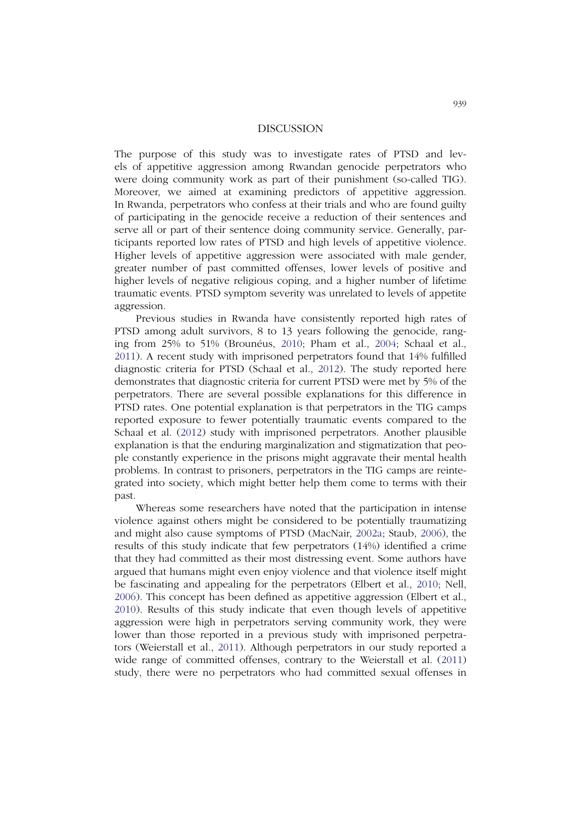#### DISCUSSION

The purpose of this study was to investigate rates of PTSD and levels of appetitive aggression among Rwandan genocide perpetrators who were doing community work as part of their punishment (so-called TIG). Moreover, we aimed at examining predictors of appetitive aggression. In Rwanda, perpetrators who confess at their trials and who are found guilty of participating in the genocide receive a reduction of their sentences and serve all or part of their sentence doing community service. Generally, participants reported low rates of PTSD and high levels of appetitive violence. Higher levels of appetitive aggression were associated with male gender, greater number of past committed offenses, lower levels of positive and higher levels of negative religious coping, and a higher number of lifetime traumatic events. PTSD symptom severity was unrelated to levels of appetite aggression.

Previous studies in Rwanda have consistently reported high rates of PTSD among adult survivors, 8 to 13 years following the genocide, ranging from 25% to 51% (Brounéus, 2010; Pham et al., 2004; Schaal et al., 2011). A recent study with imprisoned perpetrators found that 14% fulfilled diagnostic criteria for PTSD (Schaal et al., 2012). The study reported here demonstrates that diagnostic criteria for current PTSD were met by 5% of the perpetrators. There are several possible explanations for this difference in PTSD rates. One potential explanation is that perpetrators in the TIG camps reported exposure to fewer potentially traumatic events compared to the Schaal et al. (2012) study with imprisoned perpetrators. Another plausible explanation is that the enduring marginalization and stigmatization that people constantly experience in the prisons might aggravate their mental health problems. In contrast to prisoners, perpetrators in the TIG camps are reintegrated into society, which might better help them come to terms with their past.

Whereas some researchers have noted that the participation in intense violence against others might be considered to be potentially traumatizing and might also cause symptoms of PTSD (MacNair, 2002a; Staub, 2006), the results of this study indicate that few perpetrators (14%) identified a crime that they had committed as their most distressing event. Some authors have argued that humans might even enjoy violence and that violence itself might be fascinating and appealing for the perpetrators (Elbert et al., 2010; Nell, 2006). This concept has been defined as appetitive aggression (Elbert et al., 2010). Results of this study indicate that even though levels of appetitive aggression were high in perpetrators serving community work, they were lower than those reported in a previous study with imprisoned perpetrators (Weierstall et al., 2011). Although perpetrators in our study reported a wide range of committed offenses, contrary to the Weierstall et al. (2011) study, there were no perpetrators who had committed sexual offenses in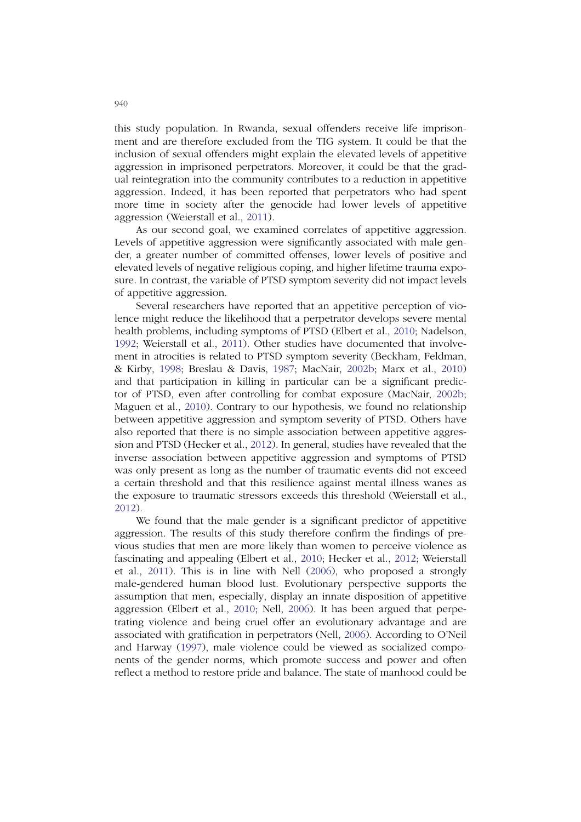this study population. In Rwanda, sexual offenders receive life imprisonment and are therefore excluded from the TIG system. It could be that the inclusion of sexual offenders might explain the elevated levels of appetitive aggression in imprisoned perpetrators. Moreover, it could be that the gradual reintegration into the community contributes to a reduction in appetitive aggression. Indeed, it has been reported that perpetrators who had spent more time in society after the genocide had lower levels of appetitive aggression (Weierstall et al., 2011).

As our second goal, we examined correlates of appetitive aggression. Levels of appetitive aggression were significantly associated with male gender, a greater number of committed offenses, lower levels of positive and elevated levels of negative religious coping, and higher lifetime trauma exposure. In contrast, the variable of PTSD symptom severity did not impact levels of appetitive aggression.

Several researchers have reported that an appetitive perception of violence might reduce the likelihood that a perpetrator develops severe mental health problems, including symptoms of PTSD (Elbert et al., 2010; Nadelson, 1992; Weierstall et al., 2011). Other studies have documented that involvement in atrocities is related to PTSD symptom severity (Beckham, Feldman, & Kirby, 1998; Breslau & Davis, 1987; MacNair, 2002b; Marx et al., 2010) and that participation in killing in particular can be a significant predictor of PTSD, even after controlling for combat exposure (MacNair, 2002b; Maguen et al., 2010). Contrary to our hypothesis, we found no relationship between appetitive aggression and symptom severity of PTSD. Others have also reported that there is no simple association between appetitive aggression and PTSD (Hecker et al., 2012). In general, studies have revealed that the inverse association between appetitive aggression and symptoms of PTSD was only present as long as the number of traumatic events did not exceed a certain threshold and that this resilience against mental illness wanes as the exposure to traumatic stressors exceeds this threshold (Weierstall et al., 2012).

We found that the male gender is a significant predictor of appetitive aggression. The results of this study therefore confirm the findings of previous studies that men are more likely than women to perceive violence as fascinating and appealing (Elbert et al., 2010; Hecker et al., 2012; Weierstall et al., 2011). This is in line with Nell (2006), who proposed a strongly male-gendered human blood lust. Evolutionary perspective supports the assumption that men, especially, display an innate disposition of appetitive aggression (Elbert et al., 2010; Nell, 2006). It has been argued that perpetrating violence and being cruel offer an evolutionary advantage and are associated with gratification in perpetrators (Nell, 2006). According to O'Neil and Harway (1997), male violence could be viewed as socialized components of the gender norms, which promote success and power and often reflect a method to restore pride and balance. The state of manhood could be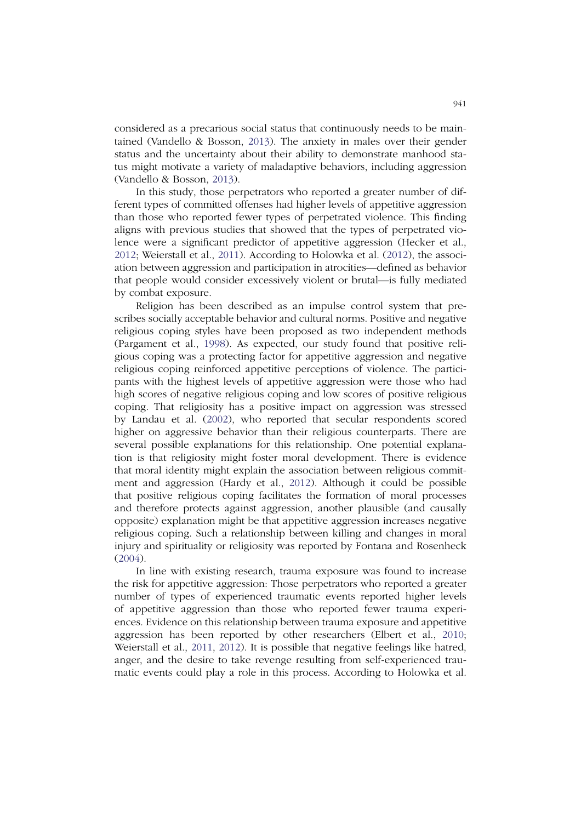considered as a precarious social status that continuously needs to be maintained (Vandello & Bosson, 2013). The anxiety in males over their gender status and the uncertainty about their ability to demonstrate manhood status might motivate a variety of maladaptive behaviors, including aggression (Vandello & Bosson, 2013).

In this study, those perpetrators who reported a greater number of different types of committed offenses had higher levels of appetitive aggression than those who reported fewer types of perpetrated violence. This finding aligns with previous studies that showed that the types of perpetrated violence were a significant predictor of appetitive aggression (Hecker et al., 2012; Weierstall et al., 2011). According to Holowka et al. (2012), the association between aggression and participation in atrocities—defined as behavior that people would consider excessively violent or brutal—is fully mediated by combat exposure.

Religion has been described as an impulse control system that prescribes socially acceptable behavior and cultural norms. Positive and negative religious coping styles have been proposed as two independent methods (Pargament et al., 1998). As expected, our study found that positive religious coping was a protecting factor for appetitive aggression and negative religious coping reinforced appetitive perceptions of violence. The participants with the highest levels of appetitive aggression were those who had high scores of negative religious coping and low scores of positive religious coping. That religiosity has a positive impact on aggression was stressed by Landau et al. (2002), who reported that secular respondents scored higher on aggressive behavior than their religious counterparts. There are several possible explanations for this relationship. One potential explanation is that religiosity might foster moral development. There is evidence that moral identity might explain the association between religious commitment and aggression (Hardy et al., 2012). Although it could be possible that positive religious coping facilitates the formation of moral processes and therefore protects against aggression, another plausible (and causally opposite) explanation might be that appetitive aggression increases negative religious coping. Such a relationship between killing and changes in moral injury and spirituality or religiosity was reported by Fontana and Rosenheck (2004).

In line with existing research, trauma exposure was found to increase the risk for appetitive aggression: Those perpetrators who reported a greater number of types of experienced traumatic events reported higher levels of appetitive aggression than those who reported fewer trauma experiences. Evidence on this relationship between trauma exposure and appetitive aggression has been reported by other researchers (Elbert et al., 2010; Weierstall et al., 2011, 2012). It is possible that negative feelings like hatred, anger, and the desire to take revenge resulting from self-experienced traumatic events could play a role in this process. According to Holowka et al.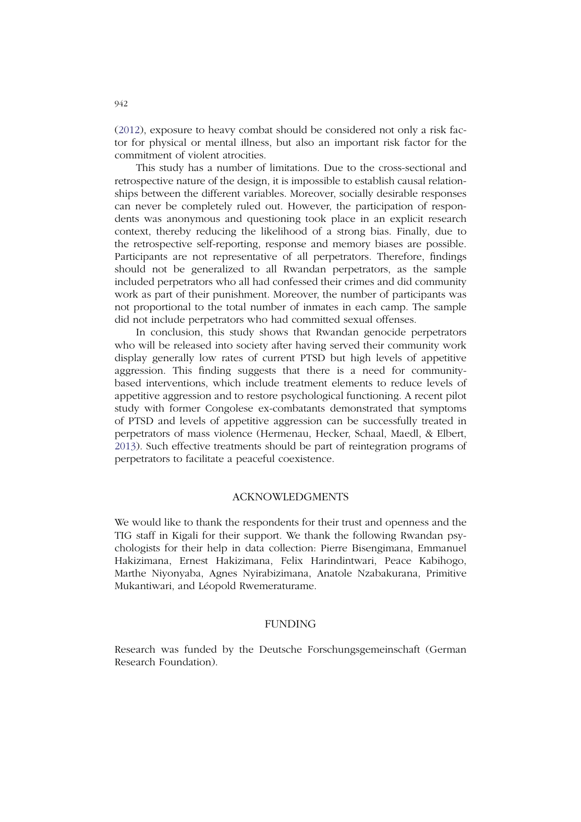(2012), exposure to heavy combat should be considered not only a risk factor for physical or mental illness, but also an important risk factor for the commitment of violent atrocities.

This study has a number of limitations. Due to the cross-sectional and retrospective nature of the design, it is impossible to establish causal relationships between the different variables. Moreover, socially desirable responses can never be completely ruled out. However, the participation of respondents was anonymous and questioning took place in an explicit research context, thereby reducing the likelihood of a strong bias. Finally, due to the retrospective self-reporting, response and memory biases are possible. Participants are not representative of all perpetrators. Therefore, findings should not be generalized to all Rwandan perpetrators, as the sample included perpetrators who all had confessed their crimes and did community work as part of their punishment. Moreover, the number of participants was not proportional to the total number of inmates in each camp. The sample did not include perpetrators who had committed sexual offenses.

In conclusion, this study shows that Rwandan genocide perpetrators who will be released into society after having served their community work display generally low rates of current PTSD but high levels of appetitive aggression. This finding suggests that there is a need for communitybased interventions, which include treatment elements to reduce levels of appetitive aggression and to restore psychological functioning. A recent pilot study with former Congolese ex-combatants demonstrated that symptoms of PTSD and levels of appetitive aggression can be successfully treated in perpetrators of mass violence (Hermenau, Hecker, Schaal, Maedl, & Elbert, 2013). Such effective treatments should be part of reintegration programs of perpetrators to facilitate a peaceful coexistence.

# ACKNOWLEDGMENTS

We would like to thank the respondents for their trust and openness and the TIG staff in Kigali for their support. We thank the following Rwandan psychologists for their help in data collection: Pierre Bisengimana, Emmanuel Hakizimana, Ernest Hakizimana, Felix Harindintwari, Peace Kabihogo, Marthe Niyonyaba, Agnes Nyirabizimana, Anatole Nzabakurana, Primitive Mukantiwari, and Léopold Rwemeraturame.

## FUNDING

Research was funded by the Deutsche Forschungsgemeinschaft (German Research Foundation).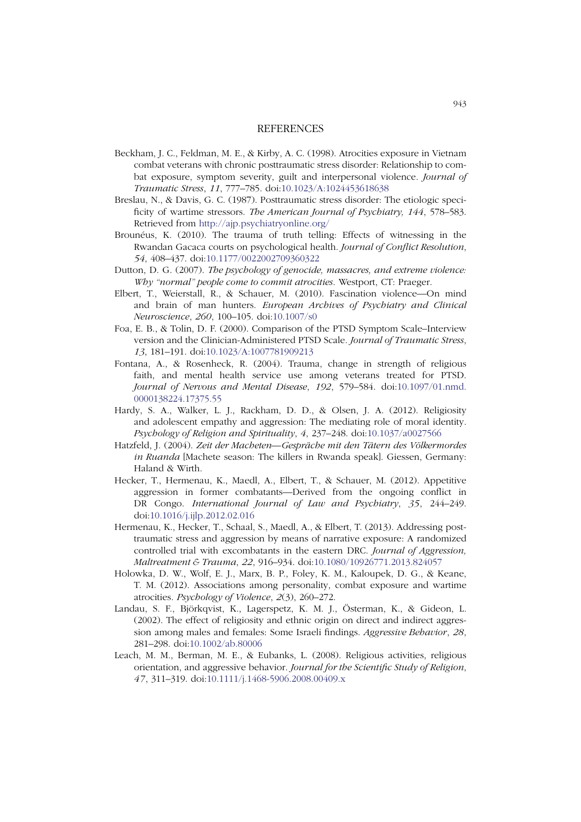#### REFERENCES

- Beckham, J. C., Feldman, M. E., & Kirby, A. C. (1998). Atrocities exposure in Vietnam combat veterans with chronic posttraumatic stress disorder: Relationship to combat exposure, symptom severity, guilt and interpersonal violence. *Journal of Traumatic Stress*, *11*, 777–785. doi:10.1023/A:1024453618638
- Breslau, N., & Davis, G. C. (1987). Posttraumatic stress disorder: The etiologic specificity of wartime stressors. *The American Journal of Psychiatry, 144*, 578–583. Retrieved from http://ajp.psychiatryonline.org/
- Brounéus, K. (2010). The trauma of truth telling: Effects of witnessing in the Rwandan Gacaca courts on psychological health. *Journal of Conflict Resolution*, *54*, 408–437. doi:10.1177/0022002709360322
- Dutton, D. G. (2007). *The psychology of genocide, massacres, and extreme violence: Why "normal" people come to commit atrocities*. Westport, CT: Praeger.
- Elbert, T., Weierstall, R., & Schauer, M. (2010). Fascination violence—On mind and brain of man hunters. *European Archives of Psychiatry and Clinical Neuroscience*, *260*, 100–105. doi:10.1007/s0
- Foa, E. B., & Tolin, D. F. (2000). Comparison of the PTSD Symptom Scale–Interview version and the Clinician-Administered PTSD Scale. *Journal of Traumatic Stress*, *13*, 181–191. doi:10.1023/A:1007781909213
- Fontana, A., & Rosenheck, R. (2004). Trauma, change in strength of religious faith, and mental health service use among veterans treated for PTSD. *Journal of Nervous and Mental Disease*, *192*, 579–584. doi:10.1097/01.nmd. 0000138224.17375.55
- Hardy, S. A., Walker, L. J., Rackham, D. D., & Olsen, J. A. (2012). Religiosity and adolescent empathy and aggression: The mediating role of moral identity. *Psychology of Religion and Spirituality*, *4*, 237–248. doi:10.1037/a0027566
- Hatzfeld, J. (2004). *Zeit der Macheten—Gespräche mit den Tätern des Völkermordes in Ruanda* [Machete season: The killers in Rwanda speak]. Giessen, Germany: Haland & Wirth.
- Hecker, T., Hermenau, K., Maedl, A., Elbert, T., & Schauer, M. (2012). Appetitive aggression in former combatants—Derived from the ongoing conflict in DR Congo. *International Journal of Law and Psychiatry*, *35*, 244–249. doi:10.1016/j.ijlp.2012.02.016
- Hermenau, K., Hecker, T., Schaal, S., Maedl, A., & Elbert, T. (2013). Addressing posttraumatic stress and aggression by means of narrative exposure: A randomized controlled trial with excombatants in the eastern DRC. *Journal of Aggression, Maltreatment & Trauma*, *22*, 916–934. doi:10.1080/10926771.2013.824057
- Holowka, D. W., Wolf, E. J., Marx, B. P., Foley, K. M., Kaloupek, D. G., & Keane, T. M. (2012). Associations among personality, combat exposure and wartime atrocities. *Psychology of Violence*, *2*(3), 260–272.
- Landau, S. F., Björkqvist, K., Lagerspetz, K. M. J., Österman, K., & Gideon, L. (2002). The effect of religiosity and ethnic origin on direct and indirect aggression among males and females: Some Israeli findings. *Aggressive Behavior*, *28*, 281–298. doi:10.1002/ab.80006
- Leach, M. M., Berman, M. E., & Eubanks, L. (2008). Religious activities, religious orientation, and aggressive behavior. *Journal for the Scientific Study of Religion*, *47*, 311–319. doi:10.1111/j.1468-5906.2008.00409.x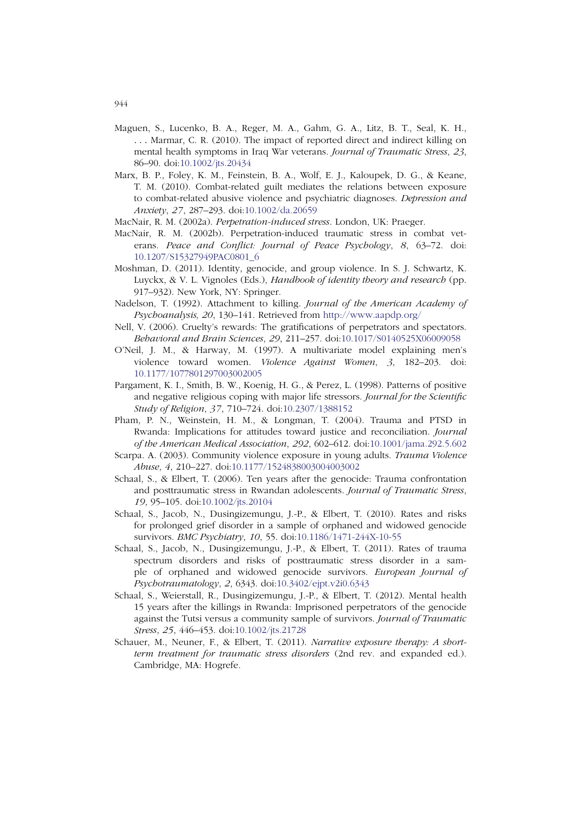- Maguen, S., Lucenko, B. A., Reger, M. A., Gahm, G. A., Litz, B. T., Seal, K. H., ... Marmar, C. R. (2010). The impact of reported direct and indirect killing on mental health symptoms in Iraq War veterans. *Journal of Traumatic Stress*, *23*, 86–90. doi:10.1002/jts.20434
- Marx, B. P., Foley, K. M., Feinstein, B. A., Wolf, E. J., Kaloupek, D. G., & Keane, T. M. (2010). Combat-related guilt mediates the relations between exposure to combat-related abusive violence and psychiatric diagnoses. *Depression and Anxiety*, *27*, 287–293. doi:10.1002/da.20659
- MacNair, R. M. (2002a). *Perpetration-induced stress*. London, UK: Praeger.
- MacNair, R. M. (2002b). Perpetration-induced traumatic stress in combat veterans. *Peace and Conflict: Journal of Peace Psychology*, *8*, 63–72. doi: 10.1207/S15327949PAC0801\_6
- Moshman, D. (2011). Identity, genocide, and group violence. In S. J. Schwartz, K. Luyckx, & V. L. Vignoles (Eds.), *Handbook of identity theory and research* (pp. 917–932). New York, NY: Springer.
- Nadelson, T. (1992). Attachment to killing. *Journal of the American Academy of Psychoanalysis, 20*, 130–141. Retrieved from http://www.aapdp.org/
- Nell, V. (2006). Cruelty's rewards: The gratifications of perpetrators and spectators. *Behavioral and Brain Sciences*, *29*, 211–257. doi:10.1017/S0140525X06009058
- O'Neil, J. M., & Harway, M. (1997). A multivariate model explaining men's violence toward women. *Violence Against Women*, *3*, 182–203. doi: 10.1177/1077801297003002005
- Pargament, K. I., Smith, B. W., Koenig, H. G., & Perez, L. (1998). Patterns of positive and negative religious coping with major life stressors. *Journal for the Scientific Study of Religion*, *37*, 710–724. doi:10.2307/1388152
- Pham, P. N., Weinstein, H. M., & Longman, T. (2004). Trauma and PTSD in Rwanda: Implications for attitudes toward justice and reconciliation. *Journal of the American Medical Association*, *292*, 602–612. doi:10.1001/jama.292.5.602
- Scarpa. A. (2003). Community violence exposure in young adults. *Trauma Violence Abuse*, *4*, 210–227. doi:10.1177/1524838003004003002
- Schaal, S., & Elbert, T. (2006). Ten years after the genocide: Trauma confrontation and posttraumatic stress in Rwandan adolescents. *Journal of Traumatic Stress*, *19*, 95–105. doi:10.1002/jts.20104
- Schaal, S., Jacob, N., Dusingizemungu, J.-P., & Elbert, T. (2010). Rates and risks for prolonged grief disorder in a sample of orphaned and widowed genocide survivors. *BMC Psychiatry*, *10*, 55. doi:10.1186/1471-244X-10-55
- Schaal, S., Jacob, N., Dusingizemungu, J.-P., & Elbert, T. (2011). Rates of trauma spectrum disorders and risks of posttraumatic stress disorder in a sample of orphaned and widowed genocide survivors. *European Journal of Psychotraumatology*, *2*, 6343. doi:10.3402/ejpt.v2i0.6343
- Schaal, S., Weierstall, R., Dusingizemungu, J.-P., & Elbert, T. (2012). Mental health 15 years after the killings in Rwanda: Imprisoned perpetrators of the genocide against the Tutsi versus a community sample of survivors. *Journal of Traumatic Stress*, *25*, 446–453. doi:10.1002/jts.21728
- Schauer, M., Neuner, F., & Elbert, T. (2011). *Narrative exposure therapy: A shortterm treatment for traumatic stress disorders* (2nd rev. and expanded ed.). Cambridge, MA: Hogrefe.